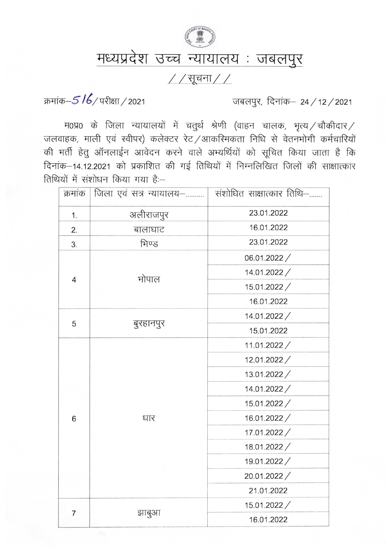

## मध्यप्रदेश उच्च न्यायालय : जबलपुर

## $//$ सूचना $//$

क्रमांक-516/परीक्षा/2021

जबलपुर, दिनांक– 24 / 12 / 2021

म0प्र0 के जिला न्यायालयों में चतुर्थ श्रेणी (वाहन चालक, भृत्य /चौकीदार / जलवाहक, माली एवं स्वीपर) कलेक्टर रेट /आकरिमकता निधि से वेतनभोगी कर्मचारियों की भर्ती हेतु ऑनलाईन आवेदन करने वाले अभ्यर्थियों को सूचित किया जाता है कि दिनांक-14.12.2021 को प्रकाशित की गई तिथियों में निम्नलिखित जिलों की साक्षात्कार तिथियों में संशोधन किया गया है:-

| क्रमांक | जिला एवं सत्र न्यायालय– | संशोधित साक्षात्कार तिथि- |
|---------|-------------------------|---------------------------|
| 1.      | अलीराजपुर               | 23.01.2022                |
| 2.      | बालाघाट                 | 16.01.2022                |
| 3.      | भिण्ड                   | 23.01.2022                |
| 4       | भोपाल                   | 06.01.2022/               |
|         |                         | 14.01.2022/               |
|         |                         | 15.01.2022/               |
|         |                         | 16.01.2022                |
| 5       | बुरहानपुर               | 14.01.2022/               |
|         |                         | 15.01.2022                |
| 6       | धार                     | 11.01.2022/               |
|         |                         | 12.01.2022/               |
|         |                         | 13.01.2022/               |
|         |                         | 14.01.2022/               |
|         |                         | 15.01.2022/               |
|         |                         | 16.01.2022/               |
|         |                         | 17.01.2022/               |
|         |                         | 18.01.2022/               |
|         |                         | 19.01.2022/               |
|         |                         | 20.01.2022/               |
|         |                         | 21.01.2022                |
| 7       | झाबुआ                   | 15.01.2022/               |
|         |                         | 16.01.2022                |